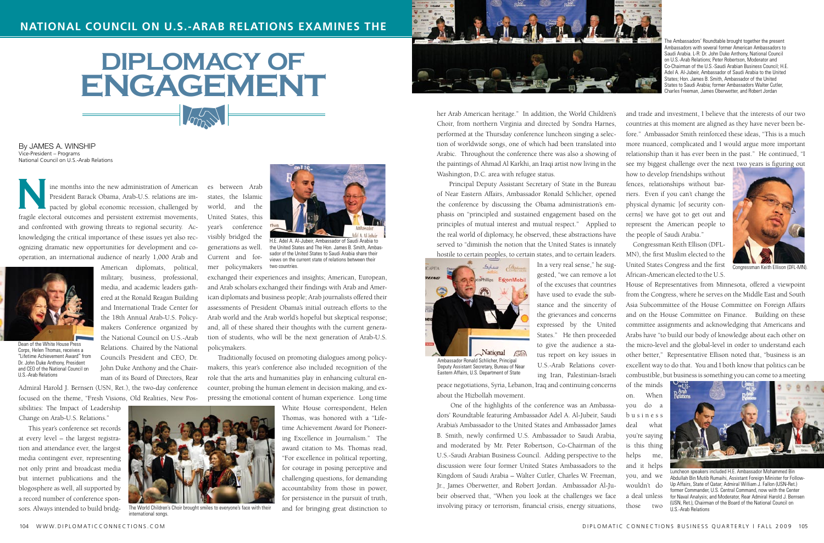ine months into the new administration of American President Barack Obama, Arab-U.S. relations are impacted by global economic recession, challenged by fragile electoral outcomes and persistent extremist movements, and confronted with growing threats to regional security. Acknowledging the critical importance of these issues yet also recognizing dramatic new opportunities for development and cooperation, an international audience of nearly 1,000 Arab and

American diplomats, political, military, business, professional, media, and academic leaders gathered at the Ronald Reagan Building and International Trade Center for the 18th Annual Arab-U.S. Policymakers Conference organized by the National Council on U.S.-Arab Relations. Chaired by the National Council's President and CEO, Dr. John Duke Anthony and the Chairman of its Board of Directors, Rear

Admiral Harold J. Bernsen (USN, Ret.), the two-day conference focused on the theme, "Fresh Visions, Old Realities, New Pos-

sibilities: The Impact of Leadership Change on Arab-U.S. Relations."

 This year's conference set records at every level – the largest registration and attendance ever, the largest media contingent ever, representing not only print and broadcast media but internet publications and the blogosphere as well, all supported by a record number of conference sponsors. Always intended to build bridg-

By James A. Winship Vice-President – Programs National Council on U.S.-Arab Relations

> es between Arab states, the Islamic world, and the United States, this year's conference visibly bridged the generations as well. Current and for-

mer policymakers

exchanged their experiences and insights; American, European, and Arab scholars exchanged their findings with Arab and American diplomats and business people; Arab journalists offered their assessments of President Obama's initial outreach efforts to the Arab world and the Arab world's hopeful but skeptical response; and, all of these shared their thoughts with the current generation of students, who will be the next generation of Arab-U.S. policymakers.

 Traditionally focused on promoting dialogues among policymakers, this year's conference also included recognition of the role that the arts and humanities play in enhancing cultural encounter, probing the human element in decision making, and expressing the emotional content of human experience. Long time

> White House correspondent, Helen Thomas, was honored with a "Lifetime Achievement Award for Pioneering Excellence in Journalism." The award citation to Ms. Thomas read, "For excellence in political reporting, for courage in posing perceptive and challenging questions, for demanding accountability from those in power, for persistence in the pursuit of truth, and for bringing great distinction to



## **Diplomacy of ENGAGEMENT**  $\sqrt{mn}$

 Principal Deputy Assistant Secretary of State in the Bureau of Near Eastern Affairs, Ambassador Ronald Schlicher, opened the conference by discussing the Obama administration's emphasis on "principled and sustained engagement based on the principles of mutual interest and mutual respect." Applied to the real world of diplomacy, he observed, these abstractions have served to "diminish the notion that the United States is innately hostile to certain peoples, to certain states, and to certain leaders.

In a very real sense," he suggested, "we can remove a lot of the excuses that countries have used to evade the substance and the sincerity of the grievances and concerns expressed by the United States." He then proceeded to give the audience a status report on key issues in U.S.-Arab Relations covering Iran, Palestinian-Israeli

her Arab American heritage." In addition, the World Children's Choir, from northern Virginia and directed by Sondra Harnes, performed at the Thursday conference luncheon singing a selection of worldwide songs, one of which had been translated into Arabic. Throughout the conference there was also a showing of the paintings of Ahmad Al Karkhi, an Iraqi artist now living in the Washington, D.C. area with refugee status. and trade and investment, I believe that the interests of our two countries at this moment are aligned as they have never been before." Ambassador Smith reinforced these ideas, "This is a much more nuanced, complicated and I would argue more important relationship than it has ever been in the past." He continued, "I see my biggest challenge over the next two years is figuring out how to develop friendships without

peace negotiations, Syria, Lebanon, Iraq and continuing concerns about the Hizbollah movement.

 One of the highlights of the conference was an Ambassadors' Roundtable featuring Ambassador Adel A. Al-Jubeir, Saudi Arabia's Ambassador to the United States and Ambassador James B. Smith, newly confirmed U.S. Ambassador to Saudi Arabia, and moderated by Mr. Peter Robertson, Co-Chairman of the U.S.-Saudi Arabian Business Council. Adding perspective to the discussion were four former United States Ambassadors to the Kingdom of Saudi Arabia – Walter Cutler, Charles W. Freeman, Jr., James Oberwetter, and Robert Jordan. Ambassador Al-Jubeir observed that, "When you look at the challenges we face involving piracy or terrorism, financial crisis, energy situations,

fences, relationships without barriers. Even if you can't change the physical dynamic [of security concerns] we have got to get out and represent the American people to the people of Saudi Arabia."

 Congressman Keith Ellison (DFL-MN), the first Muslim elected to the United States Congress and the first African-American elected to the U.S.

House of Representatives from Minnesota, offered a viewpoint from the Congress, where he serves on the Middle East and South Asia Subcommittee of the House Committee on Foreign Affairs and on the House Committee on Finance. Building on these committee assignments and acknowledging that Americans and Arabs have "to build our body of knowledge about each other on the micro-level and the global-level in order to understand each other better," Representative Ellison noted that, "business is an excellent way to do that. You and I both know that politics can be combustible, but business is something you can come to a meeting

of the minds on. When you do a b u s i n e s s deal what you're saying is this thing helps me, and it helps you, and we wouldn't do a deal unless those two



H.E. Adel A. Al-Jubeir, Ambassador of Saudi Arabia to the United States and The Hon. James B. Smith, Ambassador of the United States to Saudi Arabia share their views on the current state of relations between their two countries.



Dean of the White House Press Corps, Helen Thomas, receives a "Lifetime Achievement Award" from Dr. John Duke Anthony, President and CEO of the National Council on U.S.-Arab Relations



international songs.



The Ambassadors' Roundtable brought together the present Ambassadors with several former American Ambassadors to Saudi Arabia. L-R: Dr. John Duke Anthony, National Council on U.S.-Arab Relations; Peter Robertson, Moderator and Co-Chairman of the U.S.-Saudi Arabian Business Council; H.E. Adel A. Al-Jubeir, Ambassador of Saudi Arabia to the United States; Hon. James B. Smith, Ambassador of the United States to Saudi Arabia; former Ambassadors Walter Cutler, Charles Freeman, James Oberwetter, and Robert Jordan





Congressman Keith Ellison (DFL-MN).



Luncheon speakers included H.E. Ambassador Mohammed Bin Abdullah Bin Mutib Rumaihi, Assistant Foreign Minister for Follow-Up Affairs, State of Qatar; Admiral William J. Fallon (USN-Ret.) former Commander, U.S. Central Command, now with the Center for Naval Analysis; and Moderator, Rear Admiral Harold J. Bernsen (USN, Ret.), Chairman of the Board of the National Council on U.S.-Arab Relations